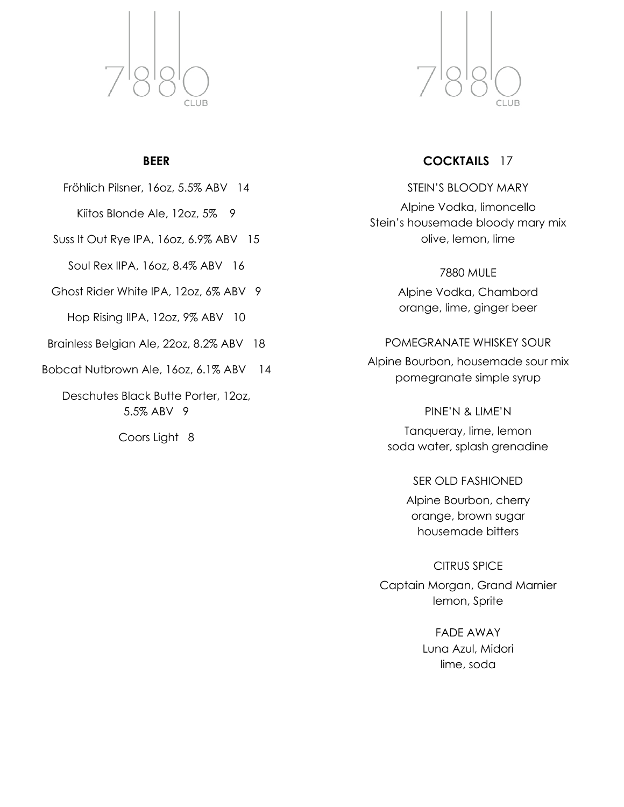

### **BEER**

Fröhlich Pilsner, 16oz, 5.5% ABV 14

Kiitos Blonde Ale, 12oz, 5% 9

Suss It Out Rye IPA, 16oz, 6.9% ABV 15

Soul Rex IIPA, 16oz, 8.4% ABV 16

Ghost Rider White IPA, 12oz, 6% ABV 9

Hop Rising IIPA, 12oz, 9% ABV 10

Brainless Belgian Ale, 22oz, 8.2% ABV 18

Bobcat Nutbrown Ale, 16oz, 6.1% ABV 14

Deschutes Black Butte Porter, 12oz, 5.5% ABV 9

Coors Light 8



# **COCKTAILS** 17

STEIN'S BLOODY MARY Alpine Vodka, limoncello Stein's housemade bloody mary mix olive, lemon, lime

> 7880 MULE Alpine Vodka, Chambord orange, lime, ginger beer

POMEGRANATE WHISKEY SOUR

Alpine Bourbon, housemade sour mix pomegranate simple syrup

> PINE'N & LIME'N Tanqueray, lime, lemon soda water, splash grenadine

> > SER OLD FASHIONED

Alpine Bourbon, cherry orange, brown sugar housemade bitters

CITRUS SPICE

Captain Morgan, Grand Marnier lemon, Sprite

> FADE AWAY Luna Azul, Midori lime, soda